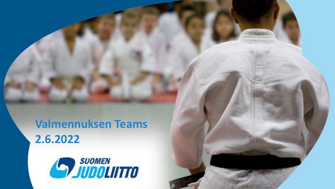#### **Valmennuksen Teams 2.6.2022**

*Judoa jokaiselle*

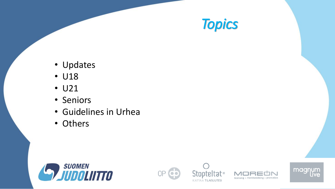

- Updates
- U18
- U21
- Seniors
- Guidelines in Urhea
- Others









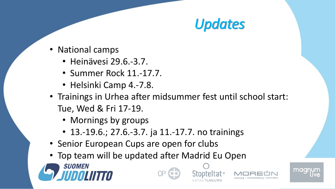# *Updates*

- National camps
	- Heinävesi 29.6.-3.7.
	- Summer Rock 11.-17.7.
	- Helsinki Camp 4.-7.8.
- Trainings in Urhea after midsummer fest until school start: Tue, Wed & Fri 17-19.
	- Mornings by groups
	- 13.-19.6.; 27.6.-3.7. ja 11.-17.7. no trainings
- Senior European Cups are open for clubs
- Top team will be updated after Madrid Eu Open









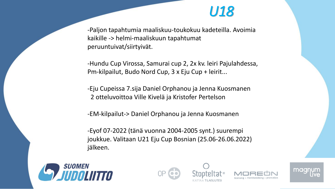#### *U18*

-Paljon tapahtumia maaliskuu-toukokuu kadeteilla. Avoimia kaikille -> helmi-maaliskuun tapahtumat peruuntuivat/siirtyivät.

-Hundu Cup Virossa, Samurai cup 2, 2x kv. leiri Pajulahdessa, Pm-kilpailut, Budo Nord Cup, 3 x Eju Cup + leirit...

-Eju Cupeissa 7.sija Daniel Orphanou ja Jenna Kuosmanen 2 otteluvoittoa Ville Kivelä ja Kristofer Pertelson

-EM-kilpailut-> Daniel Orphanou ja Jenna Kuosmanen

-Eyof 07-2022 (tänä vuonna 2004-2005 synt.) suurempi joukkue. Valitaan U21 Eju Cup Bosnian (25.06-26.06.2022) jälkeen.









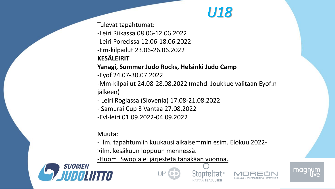#### *U18*

Tulevat tapahtumat:

-Leiri Riikassa 08.06-12.06.2022

-Leiri Porecissa 12.06-18.06.2022

-Em-kilpailut 23.06-26.06.2022

#### **KESÄLEIRIT**

#### **Yanagi, Summer Judo Rocks, Helsinki Judo Camp**

-Eyof 24.07-30.07.2022

-Mm-kilpailut 24.08-28.08.2022 (mahd. Joukkue valitaan Eyof:n jälkeen)

- Leiri Roglassa (Slovenia) 17.08-21.08.2022
- Samurai Cup 3 Vantaa 27.08.2022

-Evl-leiri 01.09.2022-04.09.2022

Muuta:

- Ilm. tapahtumiin kuukausi aikaisemmin esim. Elokuu 2022-

>ilm. kesäkuun loppuun mennessä.

-Huom! Swop:a ei järjestetä tänäkään vuonna.









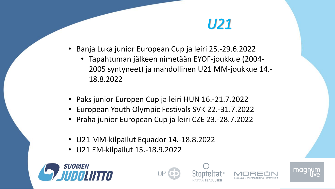### *U21*

- Banja Luka junior European Cup ja leiri 25.-29.6.2022
	- Tapahtuman jälkeen nimetään EYOF-joukkue (2004- 2005 syntyneet) ja mahdollinen U21 MM-joukkue 14.- 18.8.2022
- Paks junior Europen Cup ja leiri HUN 16.-21.7.2022
- European Youth Olympic Festivals SVK 22.-31.7.2022
- Praha junior European Cup ja leiri CZE 23.-28.7.2022
- U21 MM-kilpailut Equador 14.-18.8.2022
- U21 EM-kilpailut 15.-18.9.2022







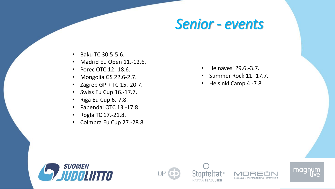#### *Senior - events*

- Baku TC 30.5-5.6.
- Madrid Eu Open 11.-12.6.
- Porec OTC 12.-18.6.
- Mongolia GS 22.6-2.7.
- Zagreb GP + TC 15.-20.7.
- Swiss Eu Cup 16.-17.7.
- Riga Eu Cup 6.-7.8.
- Papendal OTC 13.-17.8.
- Rogla TC 17.-21.8.
- Coimbra Eu Cup 27.-28.8.
- Heinävesi 29.6.-3.7.
- Summer Rock 11.-17.7.
- Helsinki Camp 4.-7.8.









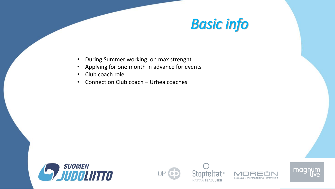## *Basic info*

- During Summer working on max strenght
- Applying for one month in advance for events
- Club coach role
- Connection Club coach Urhea coaches









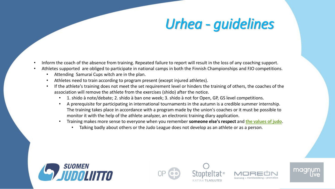# *Urhea - guidelines*

- Inform the coach of the absence from training. Repeated failure to report will result in the loss of any coaching support.
- Athletes supported are obliged to participate in national camps in both the Finnish Championships and FJO competitions.
	- Attending Samurai Cups witch are in the plan.
	- Athletes need to train according to program present (except injured athletes).
	- If the athlete's training does not meet the set requirement level or hinders the training of others, the coaches of the association will remove the athlete from the exercises (shido) after the notice.
		- 1. shido à note/debate; 2. shido à ban one week; 3. shido à not for Open, GP, GS level competitions.
		- A prerequisite for participating in international tournaments in the autumn is a credible summer internship. The training takes place in accordance with a program made by the union's coaches or it must be possible to monitor it with the help of the athlete analyzer, an electronic training diary application.
		- Training makes more sense to everyone when you remember **someone else's respect** and **[the values of judo](https://judo.fi/judoliitto/tietoa-judosta/)**.
			- Talking badly about others or the Judo League does not develop as an athlete or as a person.









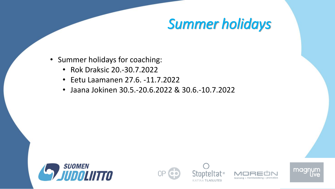# *Summer holidays*

- Summer holidays for coaching:
	- Rok Draksic 20.-30.7.2022
	- Eetu Laamanen 27.6. -11.7.2022
	- Jaana Jokinen 30.5.-20.6.2022 & 30.6.-10.7.2022